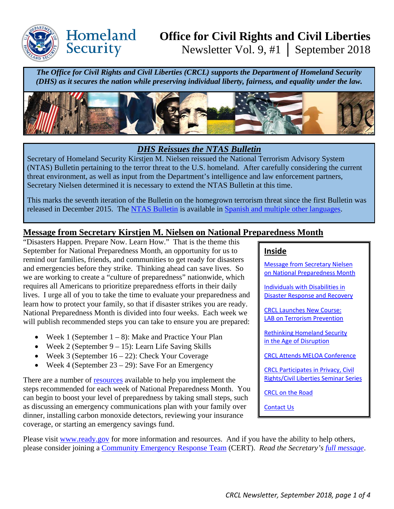

Homeland

Security

# **Office for Civil Rights and Civil Liberties**  Newsletter Vol. 9, #1 │ September 2018

*The Office for Civil Rights and Civil Liberties (CRCL) supports the Department of Homeland Security (DHS) as it secures the nation while preserving individual liberty, fairness, and equality under the law.*



# *DHS Reissues the NTAS Bulletin*

Secretary of Homeland Security Kirstjen M. Nielsen reissued the National Terrorism Advisory System (NTAS) Bulletin pertaining to the terror threat to the U.S. homeland. After carefully considering the current threat environment, as well as input from the Department's intelligence and law enforcement partners, Secretary Nielsen determined it is necessary to extend the NTAS Bulletin at this time.

This marks the seventh iteration of the Bulletin on the homegrown terrorism threat since the first Bulletin was released in December 2015. The [NTAS Bulletin](https://www.dhs.gov/national-terrorism-advisory-system) is available in [Spanish and multiple other languages.](https://www.dhs.gov/publication/national-terrorism-advisory-system-bulletin-september-14-2018-translations)

# <span id="page-0-0"></span>**Message from Secretary Kirstjen M. Nielsen on National Preparedness Month**

"Disasters Happen. Prepare Now. Learn How." That is the theme this September for National Preparedness Month, an opportunity for us to remind our families, friends, and communities to get ready for disasters and emergencies before they strike. Thinking ahead can save lives. So we are working to create a "culture of preparedness" nationwide, which requires all Americans to prioritize preparedness efforts in their daily lives. I urge all of you to take the time to evaluate your preparedness and learn how to protect your family, so that if disaster strikes you are ready. National Preparedness Month is divided into four weeks. Each week we will publish recommended steps you can take to ensure you are prepared:

- Week 1 (September  $1 8$ ): Make and Practice Your Plan
- Week 2 (September  $9 15$ ): Learn Life Saving Skills
- Week 3 (September  $16 22$ ): Check Your Coverage
- Week 4 (September  $23 29$ ): Save For an Emergency

There are a number of [resources](https://www.ready.gov/september) available to help you implement the steps recommended for each week of National Preparedness Month. You can begin to boost your level of preparedness by taking small steps, such as discussing an emergency communications plan with your family over dinner, installing carbon monoxide detectors, reviewing your insurance coverage, or starting an emergency savings fund.

#### **Inside**

[Message from Secretary Nielsen](#page-0-0)  [on National Preparedness Month](#page-0-0) 

[Individuals with Disabilities in](#page-1-0)  [Disaster Response and Recovery](#page-1-0) 

[CRCL Launches New Course:](#page-2-0)  [LAB on Terrorism Prevention](#page-2-0) 

[Rethinking Homeland Security](#page-2-1)  [in the Age of Disruption](#page-2-1)

[CRCL Attends MELOA Conference](#page-2-2) 

[CRCL Participates in Privacy, Civil](#page-3-0)  [Rights/Civil Liberties Seminar Series](#page-3-0) 

[CRCL on the Road](#page-3-1)

[Contact Us](#page-3-2)

Please visit [www.ready.gov](http://www.ready.gov/) for more information and resources. And if you have the ability to help others, please consider joining a [Community Emergency Response Team](https://www.ready.gov/community-emergency-response-team) (CERT). *Read the Secretary's [full message](https://www.dhs.gov/news/2018/08/30/message-secretary-kirstjen-m-nielsen-national-preparedness-month)*.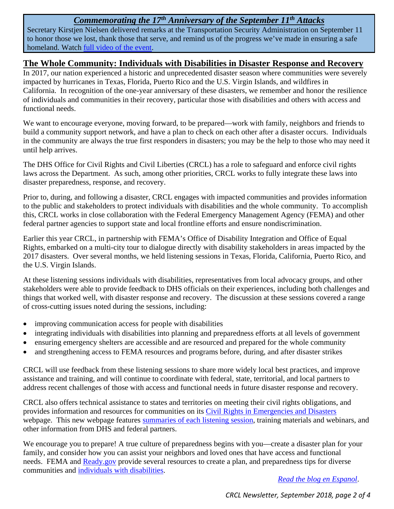# *Commemorating the 17th Anniversary of the September 11th Attacks*

Secretary Kirstjen Nielsen delivered remarks at the Transportation Security Administration on September 11 to honor those we lost, thank those that serve, and remind us of the progress we've made in ensuring a safe homeland. Watch [full video of the event.](https://www.youtube.com/watch?v=ZVTFG4yK3Jg&t=940s)

# <span id="page-1-0"></span>**The Whole Community: Individuals with Disabilities in Disaster Response and Recovery**

In 2017, our nation experienced a historic and unprecedented disaster season where communities were severely impacted by hurricanes in Texas, Florida, Puerto Rico and the U.S. Virgin Islands, and wildfires in California. In recognition of the one-year anniversary of these disasters, we remember and honor the resilience of individuals and communities in their recovery, particular those with disabilities and others with access and functional needs.

We want to encourage everyone, moving forward, to be prepared—work with family, neighbors and friends to build a community support network, and have a plan to check on each other after a disaster occurs. Individuals in the community are always the true first responders in disasters; you may be the help to those who may need it until help arrives.

The DHS Office for Civil Rights and Civil Liberties (CRCL) has a role to safeguard and enforce civil rights laws across the Department. As such, among other priorities, CRCL works to fully integrate these laws into disaster preparedness, response, and recovery.

Prior to, during, and following a disaster, CRCL engages with impacted communities and provides information to the public and stakeholders to protect individuals with disabilities and the whole community. To accomplish this, CRCL works in close collaboration with the Federal Emergency Management Agency (FEMA) and other federal partner agencies to support state and local frontline efforts and ensure nondiscrimination.

Earlier this year CRCL, in partnership with FEMA's Office of Disability Integration and Office of Equal Rights, embarked on a multi-city tour to dialogue directly with disability stakeholders in areas impacted by the 2017 disasters. Over several months, we held listening sessions in Texas, Florida, California, Puerto Rico, and the U.S. Virgin Islands.

At these listening sessions individuals with disabilities, representatives from local advocacy groups, and other stakeholders were able to provide feedback to DHS officials on their experiences, including both challenges and things that worked well, with disaster response and recovery. The discussion at these sessions covered a range of cross-cutting issues noted during the sessions, including:

- improving communication access for people with disabilities
- integrating individuals with disabilities into planning and preparedness efforts at all levels of government
- ensuring emergency shelters are accessible and are resourced and prepared for the whole community
- and strengthening access to FEMA resources and programs before, during, and after disaster strikes

CRCL will use feedback from these listening sessions to share more widely local best practices, and improve assistance and training, and will continue to coordinate with federal, state, territorial, and local partners to address recent challenges of those with access and functional needs in future disaster response and recovery.

CRCL also offers technical assistance to states and territories on meeting their civil rights obligations, and provides information and resources for communities on its [Civil Rights in Emergencies and Disasters](https://www.dhs.gov/civil-rights-emergencies-and-disasters) webpage. This new webpage features [summaries of each listening session,](https://www.dhs.gov/publication/civil-rights-listening-sessions-disability-stakeholders) training materials and webinars, and other information from DHS and federal partners.

We encourage you to prepare! A true culture of preparedness begins with you—create a disaster plan for your family, and consider how you can assist your neighbors and loved ones that have access and functional needs. FEMA and Ready, gov provide several resources to create a plan, and preparedness tips for diverse communities and [individuals with disabilities.](https://www.ready.gov/individuals-access-functional-needs)

*[Read the blog en Espanol](https://www.dhs.gov/blog/2018/08/29/toda-la-comunidad-personas-con-discapacidades-en-la-respuesta-ante-desastres-y)*.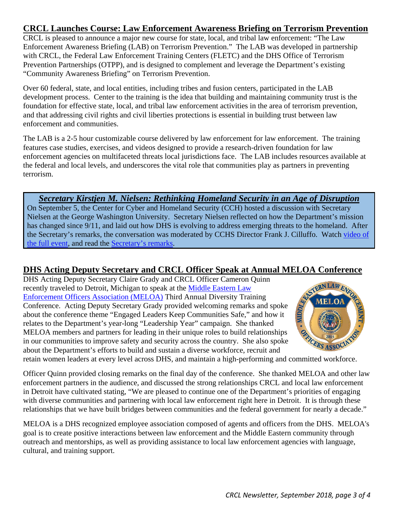# <span id="page-2-0"></span>**CRCL Launches Course: Law Enforcement Awareness Briefing on Terrorism Prevention**

CRCL is pleased to announce a major new course for state, local, and tribal law enforcement: "The Law Enforcement Awareness Briefing (LAB) on Terrorism Prevention." The LAB was developed in partnership with CRCL, the Federal Law Enforcement Training Centers (FLETC) and the DHS Office of Terrorism Prevention Partnerships (OTPP), and is designed to complement and leverage the Department's existing "Community Awareness Briefing" on Terrorism Prevention.

Over 60 federal, state, and local entities, including tribes and fusion centers, participated in the LAB development process. Center to the training is the idea that building and maintaining community trust is the foundation for effective state, local, and tribal law enforcement activities in the area of terrorism prevention, and that addressing civil rights and civil liberties protections is essential in building trust between law enforcement and communities.

The LAB is a 2-5 hour customizable course delivered by law enforcement for law enforcement. The training features case studies, exercises, and videos designed to provide a research-driven foundation for law enforcement agencies on multifaceted threats local jurisdictions face. The LAB includes resources available at the federal and local levels, and underscores the vital role that communities play as partners in preventing terrorism.

# *Secretary Kirstjen M. Nielsen: Rethinking Homeland Security in an Age of Disruption*

<span id="page-2-1"></span>On September 5, the Center for Cyber and Homeland Security (CCH) hosted a discussion with Secretary Nielsen at the George Washington University. Secretary Nielsen reflected on how the Department's mission has changed since 9/11, and laid out how DHS is evolving to address emerging threats to the homeland. After the Secretary's remarks, the conversation was moderated by CCHS Director Frank J. Cilluffo. Watch video of [the full event,](https://www.youtube.com/watch?v=M1qUA_ui12w) and read the [Secretary's remarks.](https://www.dhs.gov/news/2018/09/05/secretary-nielsen-remarks-rethinking-homeland-security-age-disruption)

# <span id="page-2-2"></span>**DHS Acting Deputy Secretary and CRCL Officer Speak at Annual MELOA Conference**

DHS Acting Deputy Secretary Claire Grady and CRCL Officer Cameron Quinn recently traveled to Detroit, Michigan to speak at the [Middle Eastern Law](http://www.meloa.org/)  [Enforcement Officers Association \(MELOA\)](http://www.meloa.org/) Third Annual Diversity Training Conference. Acting Deputy Secretary Grady provided welcoming remarks and spoke about the conference theme "Engaged Leaders Keep Communities Safe," and how it relates to the Department's year-long "Leadership Year" campaign. She thanked MELOA members and partners for leading in their unique roles to build relationships in our communities to improve safety and security across the country. She also spoke about the Department's efforts to build and sustain a diverse workforce, recruit and MELOA members and partners for leading in their unique roles to the country. She also spoke<br>in our communities to improve safety and security across the country. She also spoke<br>about the Department's efforts to build and s



Officer Quinn provided closing remarks on the final day of the conference. She thanked MELOA and other law enforcement partners in the audience, and discussed the strong relationships CRCL and local law enforcement in Detroit have cultivated stating, "We are pleased to continue one of the Department's priorities of engaging with diverse communities and partnering with local law enforcement right here in Detroit. It is through these relationships that we have built bridges between communities and the federal government for nearly a decade."

MELOA is a DHS recognized employee association composed of agents and officers from the DHS. MELOA's goal is to create positive interactions between law enforcement and the Middle Eastern community through outreach and mentorships, as well as providing assistance to local law enforcement agencies with language, cultural, and training support.